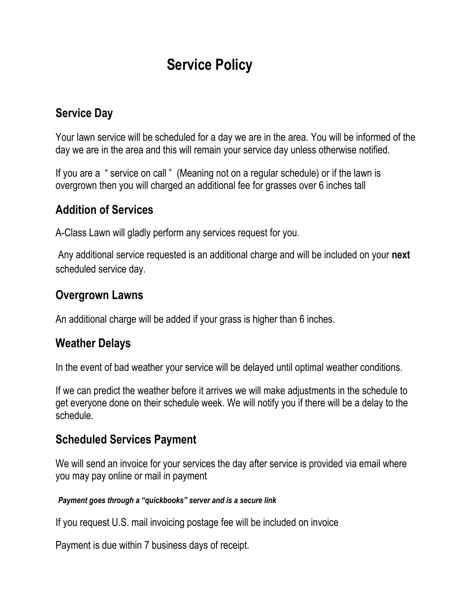# **Service Policy**

#### **Service Day**

Your lawn service will be scheduled for a day we are in the area. You will be informed of the day we are in the area and this will remain your service day unless otherwise notified.

If you are a " service on call " (Meaning not on a regular schedule) or if the lawn is overgrown then you will charged an additional fee for grasses over 6 inches tall

## **Addition of Services**

A-Class Lawn will gladly perform any services request for you.

Any additional service requested is an additional charge and will be included on your **next**  scheduled service day.

#### **Overgrown Lawns**

An additional charge will be added if your grass is higher than 6 inches.

#### **Weather Delays**

In the event of bad weather your service will be delayed until optimal weather conditions.

If we can predict the weather before it arrives we will make adjustments in the schedule to get everyone done on their schedule week. We will notify you if there will be a delay to the schedule.

#### **Scheduled Services Payment**

We will send an invoice for your services the day after service is provided via email where you may pay online or mail in payment

#### *Payment goes through a "quickbooks" server and is a secure link*

If you request U.S. mail invoicing postage fee will be included on invoice

Payment is due within 7 business days of receipt.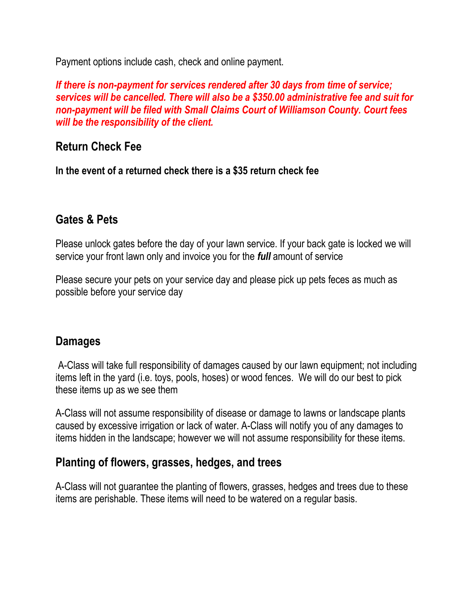Payment options include cash, check and online payment.

*If there is non-payment for services rendered after 30 days from time of service; services will be cancelled. There will also be a \$350.00 administrative fee and suit for non-payment will be filed with Small Claims Court of Williamson County. Court fees will be the responsibility of the client.* 

# **Return Check Fee**

**In the event of a returned check there is a \$35 return check fee**

## **Gates & Pets**

Please unlock gates before the day of your lawn service. If your back gate is locked we will service your front lawn only and invoice you for the *full* amount of service

Please secure your pets on your service day and please pick up pets feces as much as possible before your service day

## **Damages**

A-Class will take full responsibility of damages caused by our lawn equipment; not including items left in the yard (i.e. toys, pools, hoses) or wood fences. We will do our best to pick these items up as we see them

A-Class will not assume responsibility of disease or damage to lawns or landscape plants caused by excessive irrigation or lack of water. A-Class will notify you of any damages to items hidden in the landscape; however we will not assume responsibility for these items.

#### **Planting of flowers, grasses, hedges, and trees**

A-Class will not guarantee the planting of flowers, grasses, hedges and trees due to these items are perishable. These items will need to be watered on a regular basis.